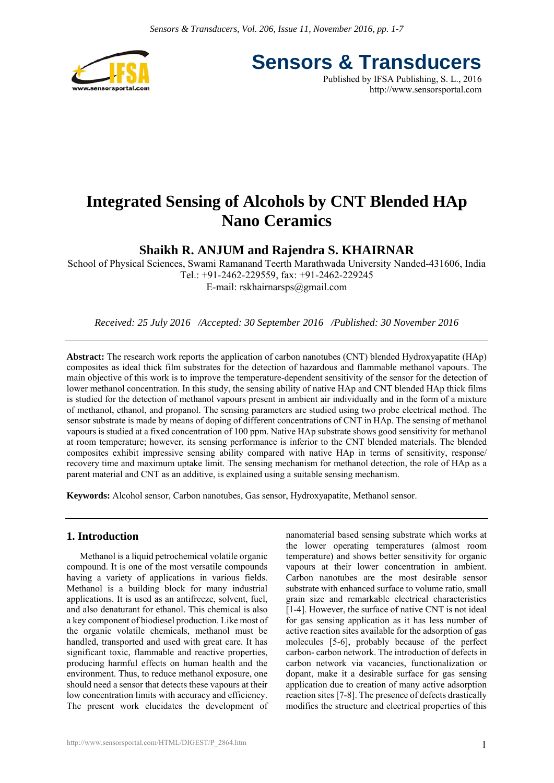

**Sensors & Transducers** Published by IFSA Publishing, S. L., 2016

http://www.sensorsportal.com

# **Integrated Sensing of Alcohols by CNT Blended HAp Nano Ceramics**

## **Shaikh R. ANJUM and Rajendra S. KHAIRNAR**

School of Physical Sciences, Swami Ramanand Teerth Marathwada University Nanded-431606, India Tel.: +91-2462-229559, fax: +91-2462-229245 E-mail: rskhairnarsps@gmail.com

*Received: 25 July 2016 /Accepted: 30 September 2016 /Published: 30 November 2016* 

**Abstract:** The research work reports the application of carbon nanotubes (CNT) blended Hydroxyapatite (HAp) composites as ideal thick film substrates for the detection of hazardous and flammable methanol vapours. The main objective of this work is to improve the temperature-dependent sensitivity of the sensor for the detection of lower methanol concentration. In this study, the sensing ability of native HAp and CNT blended HAp thick films is studied for the detection of methanol vapours present in ambient air individually and in the form of a mixture of methanol, ethanol, and propanol. The sensing parameters are studied using two probe electrical method. The sensor substrate is made by means of doping of different concentrations of CNT in HAp. The sensing of methanol vapours is studied at a fixed concentration of 100 ppm. Native HAp substrate shows good sensitivity for methanol at room temperature; however, its sensing performance is inferior to the CNT blended materials. The blended composites exhibit impressive sensing ability compared with native HAp in terms of sensitivity, response/ recovery time and maximum uptake limit. The sensing mechanism for methanol detection, the role of HAp as a parent material and CNT as an additive, is explained using a suitable sensing mechanism.

**Keywords:** Alcohol sensor, Carbon nanotubes, Gas sensor, Hydroxyapatite, Methanol sensor.

## **1. Introduction**

Methanol is a liquid petrochemical volatile organic compound. It is one of the most versatile compounds having a variety of applications in various fields. Methanol is a building block for many industrial applications. It is used as an antifreeze, solvent, fuel, and also denaturant for ethanol. This chemical is also a key component of biodiesel production. Like most of the organic volatile chemicals, methanol must be handled, transported and used with great care. It has significant toxic, flammable and reactive properties, producing harmful effects on human health and the environment. Thus, to reduce methanol exposure, one should need a sensor that detects these vapours at their low concentration limits with accuracy and efficiency. The present work elucidates the development of nanomaterial based sensing substrate which works at the lower operating temperatures (almost room temperature) and shows better sensitivity for organic vapours at their lower concentration in ambient. Carbon nanotubes are the most desirable sensor substrate with enhanced surface to volume ratio, small grain size and remarkable electrical characteristics [1-4]. However, the surface of native CNT is not ideal for gas sensing application as it has less number of active reaction sites available for the adsorption of gas molecules [5-6], probably because of the perfect carbon- carbon network. The introduction of defects in carbon network via vacancies, functionalization or dopant, make it a desirable surface for gas sensing application due to creation of many active adsorption reaction sites [7-8]. The presence of defects drastically modifies the structure and electrical properties of this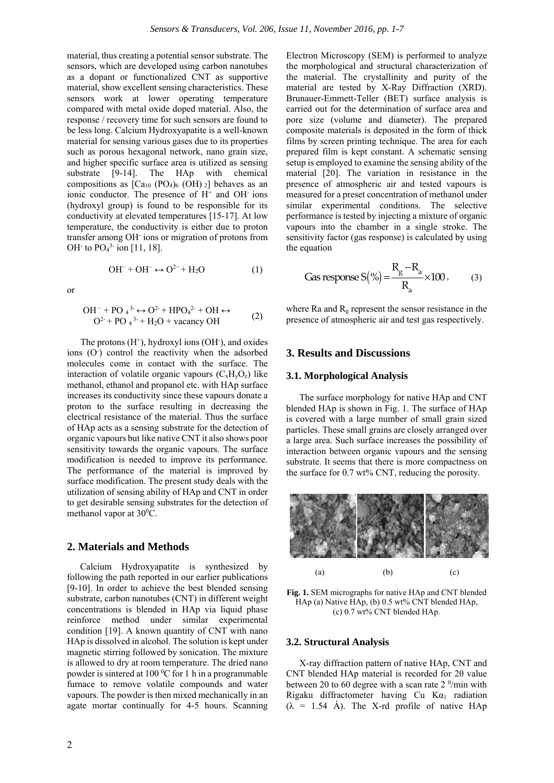material, thus creating a potential sensor substrate. The sensors, which are developed using carbon nanotubes as a dopant or functionalized CNT as supportive material, show excellent sensing characteristics. These sensors work at lower operating temperature compared with metal oxide doped material. Also, the response / recovery time for such sensors are found to be less long. Calcium Hydroxyapatite is a well-known material for sensing various gases due to its properties such as porous hexagonal network, nano grain size, and higher specific surface area is utilized as sensing substrate [9-14]. The HAp with chemical compositions as  $[Ca_{10} (PO_4)_6 (OH)_2]$  behaves as an ionic conductor. The presence of  $H^+$  and OH ions (hydroxyl group) is found to be responsible for its conductivity at elevated temperatures [15-17]. At low temperature, the conductivity is either due to proton transfer among OH- ions or migration of protons from OH $\cdot$  to PO<sub>4</sub><sup>3-</sup> ion [11, 18].

$$
\text{OH}^- + \text{OH}^- \leftrightarrow \text{O}^{2-} + \text{H}_2\text{O} \tag{1}
$$

or

$$
OH^- + PO_4^3 \leftrightarrow O^{2+} + HPO_4^{2+} + OH \leftrightarrow
$$
  
\n
$$
O^{2+} + PO_4^{3+} + H_2O + \text{vacancy OH}
$$
 (2)

The protons  $(H^+)$ , hydroxyl ions  $(OH^-)$ , and oxides ions (O<sup>-</sup>) control the reactivity when the adsorbed molecules come in contact with the surface. The interaction of volatile organic vapours  $(C_xH_yO_z)$  like methanol, ethanol and propanol etc. with HAp surface increases its conductivity since these vapours donate a proton to the surface resulting in decreasing the electrical resistance of the material. Thus the surface of HAp acts as a sensing substrate for the detection of organic vapours but like native CNT it also shows poor sensitivity towards the organic vapours. The surface modification is needed to improve its performance. The performance of the material is improved by surface modification. The present study deals with the utilization of sensing ability of HAp and CNT in order to get desirable sensing substrates for the detection of methanol vapor at 30<sup>o</sup>C.

## **2. Materials and Methods**

Calcium Hydroxyapatite is synthesized by following the path reported in our earlier publications [9-10]. In order to achieve the best blended sensing substrate, carbon nanotubes (CNT) in different weight concentrations is blended in HAp via liquid phase reinforce method under similar experimental condition [19]. A known quantity of CNT with nano HAp is dissolved in alcohol. The solution is kept under magnetic stirring followed by sonication. The mixture is allowed to dry at room temperature. The dried nano powder is sintered at  $100\,^0C$  for 1 h in a programmable furnace to remove volatile compounds and water vapours. The powder is then mixed mechanically in an agate mortar continually for 4-5 hours. Scanning

Electron Microscopy (SEM) is performed to analyze the morphological and structural characterization of the material. The crystallinity and purity of the material are tested by X-Ray Diffraction (XRD). Brunauer-Emmett-Teller (BET) surface analysis is carried out for the determination of surface area and pore size (volume and diameter). The prepared composite materials is deposited in the form of thick films by screen printing technique. The area for each prepared film is kept constant. A schematic sensing setup is employed to examine the sensing ability of the material [20]. The variation in resistance in the presence of atmospheric air and tested vapours is measured for a preset concentration of methanol under similar experimental conditions. The selective performance is tested by injecting a mixture of organic vapours into the chamber in a single stroke. The sensitivity factor (gas response) is calculated by using the equation

$$
\text{Gas response S}(\%) = \frac{R_g - R_a}{R_a} \times 100 \,. \tag{3}
$$

where Ra and  $R_g$  represent the sensor resistance in the presence of atmospheric air and test gas respectively.

## **3. Results and Discussions**

#### **3.1. Morphological Analysis**

The surface morphology for native HAp and CNT blended HAp is shown in Fig. 1. The surface of HAp is covered with a large number of small grain sized particles. These small grains are closely arranged over a large area. Such surface increases the possibility of interaction between organic vapours and the sensing substrate. It seems that there is more compactness on the surface for 0.7 wt% CNT, reducing the porosity.



**Fig. 1.** SEM micrographs for native HAp and CNT blended HAp (a) Native HAp, (b) 0.5 wt% CNT blended HAp, (c) 0.7 wt% CNT blended HAp.

#### **3.2. Structural Analysis**

X-ray diffraction pattern of native HAp, CNT and CNT blended HAp material is recorded for 2θ value between 20 to 60 degree with a scan rate  $2<sup>0</sup>/min$  with Rigaku diffractometer having Cu  $Ka_1$  radiation  $(\lambda = 1.54 \text{ Å})$ . The X-rd profile of native HAp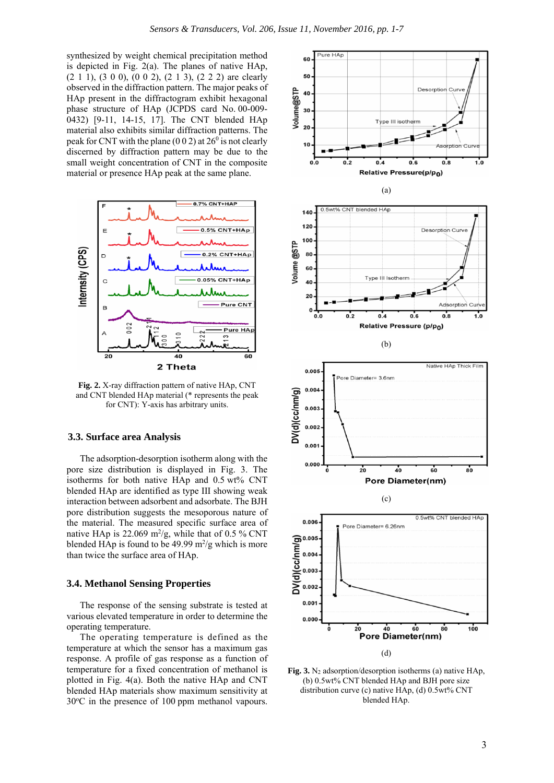synthesized by weight chemical precipitation method is depicted in Fig. 2(a). The planes of native HAp,  $(2\ 1\ 1)$ ,  $(3\ 0\ 0)$ ,  $(0\ 0\ 2)$ ,  $(2\ 1\ 3)$ ,  $(2\ 2\ 2)$  are clearly observed in the diffraction pattern. The major peaks of HAp present in the diffractogram exhibit hexagonal phase structure of HAp (JCPDS card No. 00-009- 0432) [9-11, 14-15, 17]. The CNT blended HAp material also exhibits similar diffraction patterns. The peak for CNT with the plane (0 0 2) at  $26^{\circ}$  is not clearly discerned by diffraction pattern may be due to the small weight concentration of CNT in the composite material or presence HAp peak at the same plane.



**Fig. 2.** X-ray diffraction pattern of native HAp, CNT and CNT blended HAp material (\* represents the peak for CNT): Y-axis has arbitrary units.

#### **3.3. Surface area Analysis**

The adsorption-desorption isotherm along with the pore size distribution is displayed in Fig. 3. The isotherms for both native HAp and 0.5 wt% CNT blended HAp are identified as type III showing weak interaction between adsorbent and adsorbate. The BJH pore distribution suggests the mesoporous nature of the material. The measured specific surface area of native HAp is 22.069  $m^2/g$ , while that of 0.5 % CNT blended HAp is found to be  $49.99 \text{ m}^2/\text{g}$  which is more than twice the surface area of HAp.

## **3.4. Methanol Sensing Properties**

The response of the sensing substrate is tested at various elevated temperature in order to determine the operating temperature.

The operating temperature is defined as the temperature at which the sensor has a maximum gas response. A profile of gas response as a function of temperature for a fixed concentration of methanol is plotted in Fig. 4(a). Both the native HAp and CNT blended HAp materials show maximum sensitivity at 30<sup>o</sup>C in the presence of 100 ppm methanol vapours.



**Fig. 3.** N2 adsorption/desorption isotherms (a) native HAp, (b) 0.5wt% CNT blended HAp and BJH pore size distribution curve (c) native HAp, (d) 0.5wt% CNT blended HAp.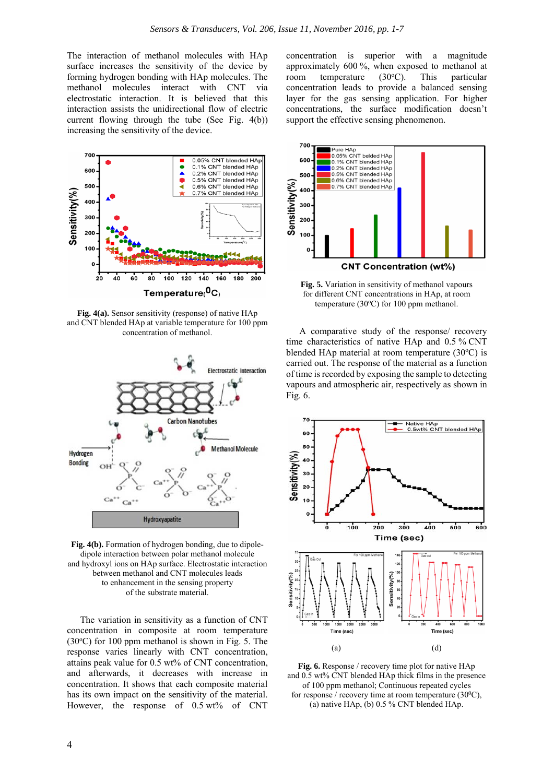The interaction of methanol molecules with HAp surface increases the sensitivity of the device by forming hydrogen bonding with HAp molecules. The methanol molecules interact with CNT via electrostatic interaction. It is believed that this interaction assists the unidirectional flow of electric current flowing through the tube (See Fig. 4(b)) increasing the sensitivity of the device.



**Fig. 4(a).** Sensor sensitivity (response) of native HAp and CNT blended HAp at variable temperature for 100 ppm concentration of methanol.



**Fig. 4(b).** Formation of hydrogen bonding, due to dipoledipole interaction between polar methanol molecule and hydroxyl ions on HAp surface. Electrostatic interaction between methanol and CNT molecules leads to enhancement in the sensing property of the substrate material.

The variation in sensitivity as a function of CNT concentration in composite at room temperature  $(30^{\circ}$ C) for 100 ppm methanol is shown in Fig. 5. The response varies linearly with CNT concentration, attains peak value for 0.5 wt% of CNT concentration, and afterwards, it decreases with increase in concentration. It shows that each composite material has its own impact on the sensitivity of the material. However, the response of  $0.5 \text{ wt\%}$  of CNT

concentration is superior with a magnitude approximately 600 %, when exposed to methanol at room temperature  $(30^{\circ}C)$ . This particular concentration leads to provide a balanced sensing layer for the gas sensing application. For higher concentrations, the surface modification doesn't support the effective sensing phenomenon.



**Fig. 5.** Variation in sensitivity of methanol vapours for different CNT concentrations in HAp, at room temperature  $(30^{\circ}C)$  for 100 ppm methanol.

A comparative study of the response/ recovery time characteristics of native HAp and 0.5 % CNT blended HAp material at room temperature  $(30^{\circ}C)$  is carried out. The response of the material as a function of time is recorded by exposing the sample to detecting vapours and atmospheric air, respectively as shown in Fig. 6.



**Fig. 6.** Response / recovery time plot for native HAp and 0.5 wt% CNT blended HAp thick films in the presence of 100 ppm methanol; Continuous repeated cycles for response / recovery time at room temperature  $(30^0C)$ , (a) native HAp, (b)  $0.5\%$  CNT blended HAp.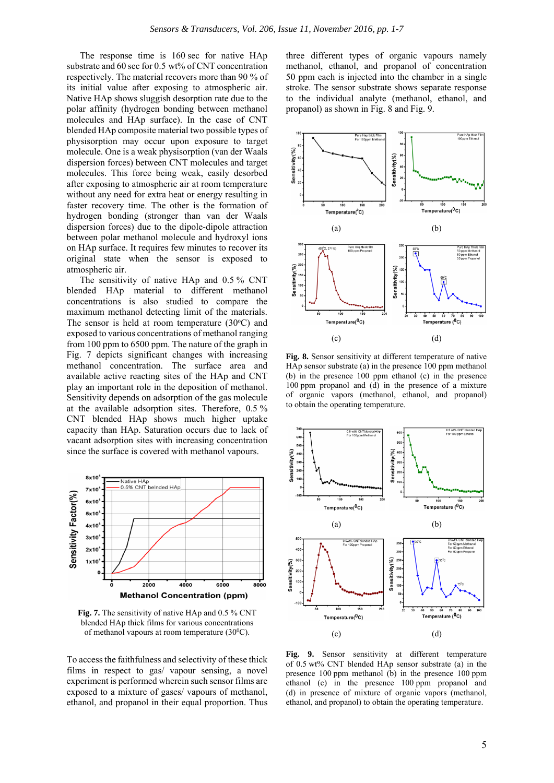The response time is 160 sec for native HAp substrate and 60 sec for 0.5 wt% of CNT concentration respectively. The material recovers more than 90 % of its initial value after exposing to atmospheric air. Native HAp shows sluggish desorption rate due to the polar affinity (hydrogen bonding between methanol molecules and HAp surface). In the case of CNT blended HAp composite material two possible types of physisorption may occur upon exposure to target molecule. One is a weak physisorption (van der Waals dispersion forces) between CNT molecules and target molecules. This force being weak, easily desorbed after exposing to atmospheric air at room temperature without any need for extra heat or energy resulting in faster recovery time. The other is the formation of hydrogen bonding (stronger than van der Waals dispersion forces) due to the dipole-dipole attraction between polar methanol molecule and hydroxyl ions on HAp surface. It requires few minutes to recover its original state when the sensor is exposed to atmospheric air.

The sensitivity of native HAp and 0.5 % CNT blended HAp material to different methanol concentrations is also studied to compare the maximum methanol detecting limit of the materials. The sensor is held at room temperature  $(30^{\circ}C)$  and exposed to various concentrations of methanol ranging from 100 ppm to 6500 ppm. The nature of the graph in Fig. 7 depicts significant changes with increasing methanol concentration. The surface area and available active reacting sites of the HAp and CNT play an important role in the deposition of methanol. Sensitivity depends on adsorption of the gas molecule at the available adsorption sites. Therefore, 0.5 % CNT blended HAp shows much higher uptake capacity than HAp. Saturation occurs due to lack of vacant adsorption sites with increasing concentration since the surface is covered with methanol vapours.



**Fig. 7.** The sensitivity of native HAp and 0.5 % CNT blended HAp thick films for various concentrations of methanol vapours at room temperature  $(30^0C)$ .

To access the faithfulness and selectivity of these thick films in respect to gas/ vapour sensing, a novel experiment is performed wherein such sensor films are exposed to a mixture of gases/ vapours of methanol, ethanol, and propanol in their equal proportion. Thus three different types of organic vapours namely methanol, ethanol, and propanol of concentration 50 ppm each is injected into the chamber in a single stroke. The sensor substrate shows separate response to the individual analyte (methanol, ethanol, and propanol) as shown in Fig. 8 and Fig. 9.



**Fig. 8.** Sensor sensitivity at different temperature of native HAp sensor substrate (a) in the presence 100 ppm methanol (b) in the presence 100 ppm ethanol (c) in the presence 100 ppm propanol and (d) in the presence of a mixture of organic vapors (methanol, ethanol, and propanol) to obtain the operating temperature.



**Fig. 9.** Sensor sensitivity at different temperature of 0.5 wt% CNT blended HAp sensor substrate (a) in the presence 100 ppm methanol (b) in the presence 100 ppm ethanol (c) in the presence 100 ppm propanol and (d) in presence of mixture of organic vapors (methanol, ethanol, and propanol) to obtain the operating temperature.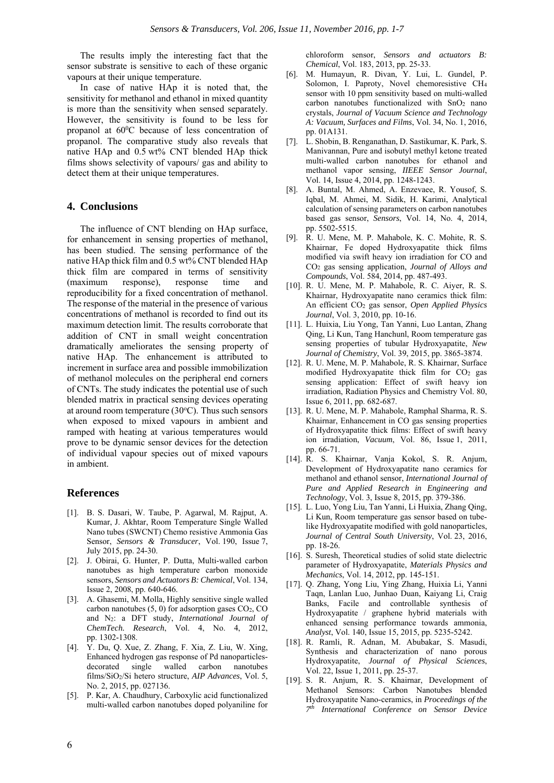The results imply the interesting fact that the sensor substrate is sensitive to each of these organic vapours at their unique temperature.

In case of native HAp it is noted that, the sensitivity for methanol and ethanol in mixed quantity is more than the sensitivity when sensed separately. However, the sensitivity is found to be less for propanol at  $60^{\circ}$ C because of less concentration of propanol. The comparative study also reveals that native HAp and 0.5 wt% CNT blended HAp thick films shows selectivity of vapours/ gas and ability to detect them at their unique temperatures.

## **4. Conclusions**

The influence of CNT blending on HAp surface, for enhancement in sensing properties of methanol, has been studied. The sensing performance of the native HAp thick film and 0.5 wt% CNT blended HAp thick film are compared in terms of sensitivity (maximum response), response time and reproducibility for a fixed concentration of methanol. The response of the material in the presence of various concentrations of methanol is recorded to find out its maximum detection limit. The results corroborate that addition of CNT in small weight concentration dramatically ameliorates the sensing property of native HAp. The enhancement is attributed to increment in surface area and possible immobilization of methanol molecules on the peripheral end corners of CNTs. The study indicates the potential use of such blended matrix in practical sensing devices operating at around room temperature (30°C). Thus such sensors when exposed to mixed vapours in ambient and ramped with heating at various temperatures would prove to be dynamic sensor devices for the detection of individual vapour species out of mixed vapours in ambient.

## **References**

- [1]. B. S. Dasari, W. Taube, P. Agarwal, M. Rajput, A. Kumar, J. Akhtar, Room Temperature Single Walled Nano tubes (SWCNT) Chemo resistive Ammonia Gas Sensor, *Sensors & Transducer*, Vol. 190, Issue 7, July 2015, pp. 24-30.
- [2]. J. Obirai, G. Hunter, P. Dutta, Multi-walled carbon nanotubes as high temperature carbon monoxide sensors, *Sensors and Actuators B: Chemical*, Vol. 134, Issue 2, 2008, pp. 640-646.
- [3]. A. Ghasemi, M. Molla, Highly sensitive single walled carbon nanotubes  $(5, 0)$  for adsorption gases  $CO<sub>2</sub>$ , CO and N2: a DFT study, *International Journal of ChemTech. Research*, Vol. 4, No. 4, 2012, pp. 1302-1308.
- [4]. Y. Du, Q. Xue, Z. Zhang, F. Xia, Z. Liu, W. Xing, Enhanced hydrogen gas response of Pd nanoparticlesdecorated single walled carbon nanotubes films/SiO2/Si hetero structure, *AIP Advances*, Vol. 5, No. 2, 2015, pp. 027136.
- [5]. P. Kar, A. Chaudhury, Carboxylic acid functionalized multi-walled carbon nanotubes doped polyaniline for

chloroform sensor, *Sensors and actuators B: Chemical*, Vol. 183, 2013, pp. 25-33.

- [6]. M. Humayun, R. Divan, Y. Lui, L. Gundel, P. Solomon, I. Paproty, Novel chemoresistive CH4 sensor with 10 ppm sensitivity based on multi-walled carbon nanotubes functionalized with  $SnO<sub>2</sub>$  nano crystals, *Journal of Vacuum Science and Technology A: Vacuum, Surfaces and Films*, Vol. 34, No. 1, 2016, pp. 01A131.
- [7]. L. Shobin, B. Renganathan, D. Sastikumar, K. Park, S. Manivannan, Pure and isobutyl methyl ketone treated multi-walled carbon nanotubes for ethanol and methanol vapor sensing, *IIEEE Sensor Journal*, Vol. 14, Issue 4, 2014, pp. 1248-1243.
- [8]. A. Buntal, M. Ahmed, A. Enzevaee, R. Yousof, S. Iqbal, M. Ahmei, M. Sidik, H. Karimi, Analytical calculation of sensing parameters on carbon nanotubes based gas sensor, *Sensors*, Vol. 14, No. 4, 2014, pp. 5502-5515.
- [9]. R. U. Mene, M. P. Mahabole, K. C. Mohite, R. S. Khairnar, Fe doped Hydroxyapatite thick films modified via swift heavy ion irradiation for CO and CO2 gas sensing application, *Journal of Alloys and Compounds*, Vol. 584, 2014, pp. 487-493.
- [10]. R. U. Mene, M. P. Mahabole, R. C. Aiyer, R. S. Khairnar, Hydroxyapatite nano ceramics thick film: An efficient CO2 gas sensor, *Open Applied Physics Journal*, Vol. 3, 2010, pp. 10-16.
- [11]. L. Huixia, Liu Yong, Tan Yanni, Luo Lantan, Zhang Qing, Li Kun, Tang Hanchunl, Room temperature gas sensing properties of tubular Hydroxyapatite, *New Journal of Chemistry*, Vol. 39, 2015, pp. 3865-3874.
- [12]. R. U. Mene, M. P. Mahabole, R. S. Khairnar, Surface modified Hydroxyapatite thick film for  $CO<sub>2</sub>$  gas sensing application: Effect of swift heavy ion irradiation, Radiation Physics and Chemistry Vol. 80, Issue 6, 2011, pp. 682-687.
- [13]. R. U. Mene, M. P. Mahabole, Ramphal Sharma, R. S. Khairnar, Enhancement in CO gas sensing properties of Hydroxyapatite thick films: Effect of swift heavy ion irradiation, *Vacuum*, Vol. 86, Issue 1, 2011, pp. 66-71.
- [14]. R. S. Khairnar, Vanja Kokol, S. R. Anjum, Development of Hydroxyapatite nano ceramics for methanol and ethanol sensor, *International Journal of Pure and Applied Research in Engineering and Technology*, Vol. 3, Issue 8, 2015, pp. 379-386.
- [15]. L. Luo, Yong Liu, Tan Yanni, Li Huixia, Zhang Qing, Li Kun, Room temperature gas sensor based on tubelike Hydroxyapatite modified with gold nanoparticles, *Journal of Central South University*, Vol. 23, 2016, pp. 18-26.
- [16]. S. Suresh, Theoretical studies of solid state dielectric parameter of Hydroxyapatite, *Materials Physics and Mechanics*, Vol. 14, 2012, pp. 145-151.
- [17]. Q. Zhang, Yong Liu, Ying Zhang, Huixia Li, Yanni Taqn, Lanlan Luo, Junhao Duan, Kaiyang Li, Craig Banks, Facile and controllable synthesis of Hydroxyapatite / graphene hybrid materials with enhanced sensing performance towards ammonia, *Analyst*, Vol. 140, Issue 15, 2015, pp. 5235-5242.
- [18]. R. Ramli, R. Adnan, M. Abubakar, S. Masudi, Synthesis and characterization of nano porous Hydroxyapatite, *Journal of Physical Sciences*, Vol. 22, Issue 1, 2011, pp. 25-37.
- [19]. S. R. Anjum, R. S. Khairnar, Development of Methanol Sensors: Carbon Nanotubes blended Hydroxyapatite Nano-ceramics, in *Proceedings of the 7th International Conference on Sensor Device*